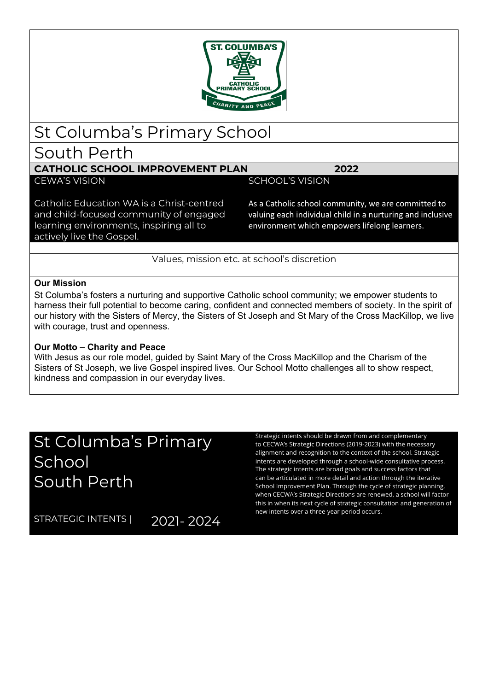

## St Columba's Primary School

## South Perth

### **CATHOLIC SCHOOL IMPROVEMENT PLAN 2022**

CEWA'S VISION GERALD SCHOOL IS VISION

Catholic Education WA is a Christ-centred and child-focused community of engaged learning environments, inspiring all to actively live the Gospel.

As a Catholic school community, we are committed to valuing each individual child in a nurturing and inclusive environment which empowers lifelong learners.

Values, mission etc. at school's discretion

#### **Our Mission**

St Columba's fosters a nurturing and supportive Catholic school community; we empower students to harness their full potential to become caring, confident and connected members of society. In the spirit of our history with the Sisters of Mercy, the Sisters of St Joseph and St Mary of the Cross MacKillop, we live with courage, trust and openness.

#### **Our Motto – Charity and Peace**

With Jesus as our role model, guided by Saint Mary of the Cross MacKillop and the Charism of the Sisters of St Joseph, we live Gospel inspired lives. Our School Motto challenges all to show respect, kindness and compassion in our everyday lives.

# St Columba's Primary School South Perth

Strategic intents should be drawn from and complementary to CECWA's Strategic Directions (2019-2023) with the necessary alignment and recognition to the context of the school. Strategic intents are developed through a school-wide consultative process. The strategic intents are broad goals and success factors that can be articulated in more detail and action through the iterative School Improvement Plan. Through the cycle of strategic planning, when CECWA's Strategic Directions are renewed, a school will factor this in when its next cycle of strategic consultation and generation of new intents over a three-year period occurs.

STRATEGIC INTENTS | 2021-2024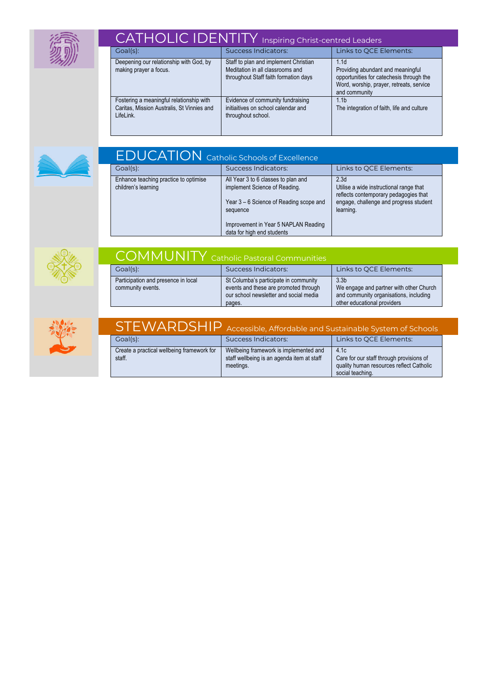

| CATHOLIC IDENTITY Inspiring Christ-centred Leaders                                                  |                                                                                                                    |                                                                                                                                                                |  |
|-----------------------------------------------------------------------------------------------------|--------------------------------------------------------------------------------------------------------------------|----------------------------------------------------------------------------------------------------------------------------------------------------------------|--|
| Goal(s):                                                                                            | Success Indicators:                                                                                                | Links to QCE Elements:                                                                                                                                         |  |
| Deepening our relationship with God, by<br>making prayer a focus.                                   | Staff to plan and implement Christian<br>Meditation in all classrooms and<br>throughout Staff faith formation days | 1.1 <sub>d</sub><br>Providing abundant and meaningful<br>opportunities for catechesis through the<br>Word, worship, prayer, retreats, service<br>and community |  |
| Fostering a meaningful relationship with<br>Caritas, Mission Australis, St Vinnies and<br>LifeLink. | Evidence of community fundraising<br>initiaitives on school calendar and<br>throughout school.                     | 1.1 <sub>b</sub><br>The integration of faith, life and culture                                                                                                 |  |



| <b>FDUCATION</b> Catholic Schools of Excellence              |                                                                                                                                                                     |                                                                                                                                                             |  |
|--------------------------------------------------------------|---------------------------------------------------------------------------------------------------------------------------------------------------------------------|-------------------------------------------------------------------------------------------------------------------------------------------------------------|--|
| Goal(s):                                                     | <b>Success Indicators:</b>                                                                                                                                          | Links to QCE Elements:                                                                                                                                      |  |
| Enhance teaching practice to optimise<br>children's learning | All Year 3 to 6 classes to plan and<br>implement Science of Reading.<br>Year 3 – 6 Science of Reading scope and<br>sequence<br>Improvement in Year 5 NAPLAN Reading | 2.3 <sub>d</sub><br>Utilise a wide instructional range that<br>reflects contemporary pedagogies that<br>engage, challenge and progress student<br>learning. |  |
|                                                              | data for high end students                                                                                                                                          |                                                                                                                                                             |  |



| <b>COMMUNITY</b> Catholic Pastoral Communities           |                                                                                                                                    |                                                                                                                                      |  |
|----------------------------------------------------------|------------------------------------------------------------------------------------------------------------------------------------|--------------------------------------------------------------------------------------------------------------------------------------|--|
| $Goal(s)$ :                                              | <b>Success Indicators:</b>                                                                                                         | Links to QCE Elements:                                                                                                               |  |
| Participation and presence in local<br>community events. | St Columba's participate in community<br>events and these are promoted through<br>our school newsletter and social media<br>pages. | 3.3 <sub>b</sub><br>We engage and partner with other Church<br>and community organisations, including<br>other educational providers |  |



| STEWARDSHIP Accessible, Affordable and Sustainable System of Schools |                                                                                                   |                                                                                                                  |  |  |
|----------------------------------------------------------------------|---------------------------------------------------------------------------------------------------|------------------------------------------------------------------------------------------------------------------|--|--|
| Goal(s):                                                             | Success Indicators:                                                                               | Links to QCE Elements:                                                                                           |  |  |
| Create a practical wellbeing framework for<br>staff.                 | Wellbeing framework is implemented and<br>staff wellbeing is an agenda item at staff<br>meetings. | 4.1c<br>Care for our staff through provisions of<br>quality human resources reflect Catholic<br>social teaching. |  |  |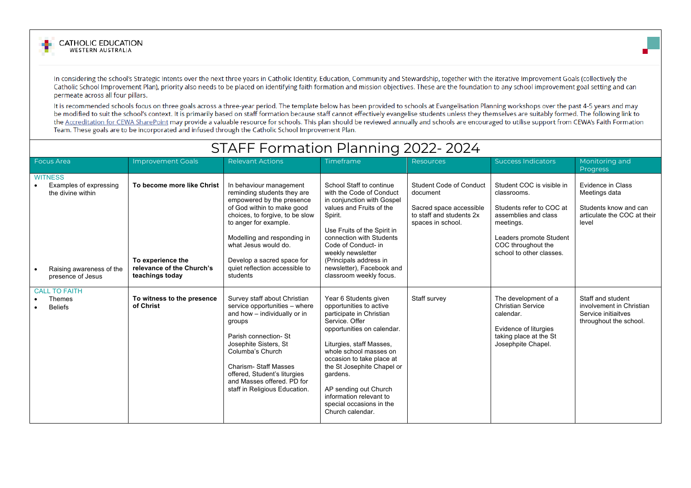



In considering the school's Strategic Intents over the next three years in Catholic Identity, Education, Community and Stewardship, together with the iterative Improvement Goals (collectively the Catholic School Improvement Plan), priority also needs to be placed on identifying faith formation and mission objectives. These are the foundation to any school improvement goal setting and can permeate across all four pillars.

It is recommended schools focus on three goals across a three-year period. The template below has been provided to schools at Evangelisation Planning workshops over the past 4-5 years and may be modified to suit the school's context. It is primarily based on staff formation because staff cannot effectively evangelise students unless they themselves are suitably formed. The following link to the Accreditation for CEWA SharePoint may provide a valuable resource for schools. This plan should be reviewed annually and schools are encouraged to utilise support from CEWA's Faith Formation Team. These goals are to be incorporated and infused through the Catholic School Improvement Plan.

|                                                                                                                | STAFF Formation Planning 2022-2024                                                              |                                                                                                                                                                                                                                                                                                                  |                                                                                                                                                                                                                                                                                                                                                               |                                                                                                                        |                                                                                                                                                                                        |                                                                                                     |
|----------------------------------------------------------------------------------------------------------------|-------------------------------------------------------------------------------------------------|------------------------------------------------------------------------------------------------------------------------------------------------------------------------------------------------------------------------------------------------------------------------------------------------------------------|---------------------------------------------------------------------------------------------------------------------------------------------------------------------------------------------------------------------------------------------------------------------------------------------------------------------------------------------------------------|------------------------------------------------------------------------------------------------------------------------|----------------------------------------------------------------------------------------------------------------------------------------------------------------------------------------|-----------------------------------------------------------------------------------------------------|
| <b>Focus Area</b>                                                                                              | <b>Improvement Goals</b>                                                                        | <b>Relevant Actions</b>                                                                                                                                                                                                                                                                                          | <b>Timeframe</b>                                                                                                                                                                                                                                                                                                                                              | Resources                                                                                                              | <b>Success Indicators</b>                                                                                                                                                              | Monitoring and<br><b>Progress</b>                                                                   |
| <b>WITNESS</b><br>Examples of expressing<br>the divine within<br>Raising awareness of the<br>presence of Jesus | To become more like Christ<br>To experience the<br>relevance of the Church's<br>teachings today | In behaviour management<br>reminding students they are<br>empowered by the presence<br>of God within to make good<br>choices, to forgive, to be slow<br>to anger for example.<br>Modelling and responding in<br>what Jesus would do.<br>Develop a sacred space for<br>quiet reflection accessible to<br>students | School Staff to continue<br>with the Code of Conduct<br>in conjunction with Gospel<br>values and Fruits of the<br>Spirit.<br>Use Fruits of the Spirit in<br>connection with Students<br>Code of Conduct- in<br>weekly newsletter<br>(Principals address in<br>newsletter), Facebook and<br>classroom weekly focus.                                            | <b>Student Code of Conduct</b><br>document<br>Sacred space accessible<br>to staff and students 2x<br>spaces in school. | Student COC is visible in<br>classrooms.<br>Students refer to COC at<br>assemblies and class<br>meetings.<br>Leaders promote Student<br>COC throughout the<br>school to other classes. | Evidence in Class<br>Meetings data<br>Students know and can<br>articulate the COC at their<br>level |
| <b>CALL TO FAITH</b><br>Themes<br><b>Beliefs</b>                                                               | To witness to the presence<br>of Christ                                                         | Survey staff about Christian<br>service opportunities - where<br>and how - individually or in<br>groups<br>Parish connection- St<br>Josephite Sisters, St<br>Columba's Church<br><b>Charism-Staff Masses</b><br>offered, Student's liturgies<br>and Masses offered. PD for<br>staff in Religious Education.      | Year 6 Students given<br>opportunities to active<br>participate in Christian<br>Service, Offer<br>opportunities on calendar.<br>Liturgies, staff Masses,<br>whole school masses on<br>occasion to take place at<br>the St Josephite Chapel or<br>gardens.<br>AP sending out Church<br>information relevant to<br>special occasions in the<br>Church calendar. | Staff survey                                                                                                           | The development of a<br><b>Christian Service</b><br>calendar.<br>Evidence of liturgies<br>taking place at the St<br>Josephpite Chapel.                                                 | Staff and student<br>involvement in Christian<br>Service initiaitves<br>throughout the school.      |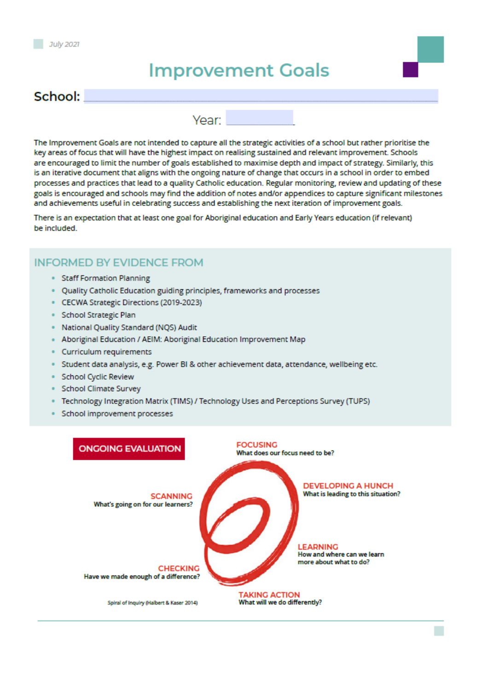# **Improvement Goals**

### School:

Year:

The Improvement Goals are not intended to capture all the strategic activities of a school but rather prioritise the key areas of focus that will have the highest impact on realising sustained and relevant improvement. Schools are encouraged to limit the number of goals established to maximise depth and impact of strategy. Similarly, this is an iterative document that aligns with the ongoing nature of change that occurs in a school in order to embed processes and practices that lead to a quality Catholic education. Regular monitoring, review and updating of these goals is encouraged and schools may find the addition of notes and/or appendices to capture significant milestones and achievements useful in celebrating success and establishing the next iteration of improvement goals.

There is an expectation that at least one goal for Aboriginal education and Early Years education (if relevant) be included.

#### **INFORMED BY EVIDENCE FROM**

- **Staff Formation Planning**
- Quality Catholic Education guiding principles, frameworks and processes
- CECWA Strategic Directions (2019-2023)
- · School Strategic Plan
- · National Quality Standard (NQS) Audit
- Aboriginal Education / AEIM: Aboriginal Education Improvement Map
- Curriculum requirements
- Student data analysis, e.g. Power BI & other achievement data, attendance, wellbeing etc.
- · School Cyclic Review
- · School Climate Survey
- · Technology Integration Matrix (TIMS) / Technology Uses and Perceptions Survey (TUPS)
- School improvement processes

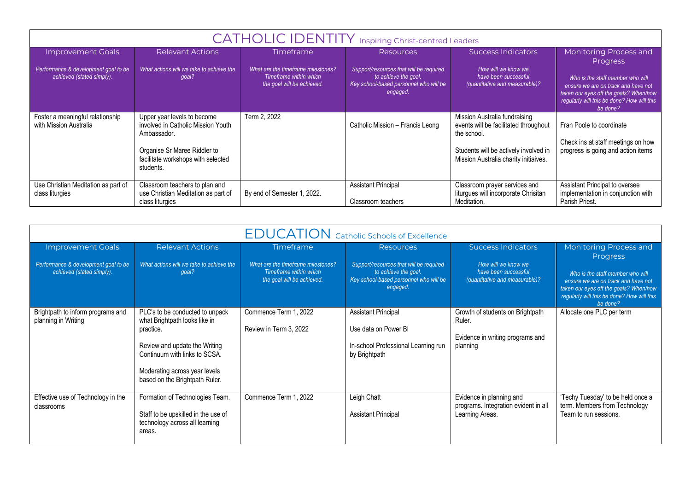| <b>CATHOLIC IDENTITY</b> Inspiring Christ-centred Leaders         |                                                                                                                                                                     |                                                                                            |                                                                                                                       |                                                                                                                                                                         |                                                                                                                                                                             |
|-------------------------------------------------------------------|---------------------------------------------------------------------------------------------------------------------------------------------------------------------|--------------------------------------------------------------------------------------------|-----------------------------------------------------------------------------------------------------------------------|-------------------------------------------------------------------------------------------------------------------------------------------------------------------------|-----------------------------------------------------------------------------------------------------------------------------------------------------------------------------|
| <b>Improvement Goals</b>                                          | <b>Relevant Actions</b>                                                                                                                                             | Timeframe                                                                                  | <b>Resources</b>                                                                                                      | <b>Success Indicators</b>                                                                                                                                               | Monitoring Process and<br><b>Progress</b>                                                                                                                                   |
| Performance & development goal to be<br>achieved (stated simply). | What actions will we take to achieve the<br>goal?                                                                                                                   | What are the timeframe milestones?<br>Timeframe within which<br>the goal will be achieved. | Support/resources that will be required<br>to achieve the goal.<br>Key school-based personnel who will be<br>engaged. | How will we know we<br>have been successful<br>(quantitative and measurable)?                                                                                           | Who is the staff member who will<br>ensure we are on track and have not<br>taken our eyes off the goals? When/how<br>regularly will this be done? How will this<br>be done? |
| Foster a meaningful relationship<br>with Mission Australia        | Upper year levels to become<br>involved in Catholic Mission Youth<br>Ambassador.<br>Organise Sr Maree Riddler to<br>facilitate workshops with selected<br>students. | Term 2, 2022                                                                               | Catholic Mission - Francis Leong                                                                                      | Mission Australia fundraising<br>events will be facilitated throughout<br>the school.<br>Students will be actively involved in<br>Mission Australia charity initiaives. | Fran Poole to coordinate<br>Check ins at staff meetings on how<br>progress is going and action items                                                                        |
| Use Christian Meditation as part of<br>class liturgies            | Classroom teachers to plan and<br>use Christian Meditation as part of<br>class liturgies                                                                            | By end of Semester 1, 2022.                                                                | <b>Assistant Principal</b><br>Classroom teachers                                                                      | Classroom prayer services and<br>liturgues will incorporate Chrisitan<br>Meditation.                                                                                    | Assistant Principal to oversee<br>implementation in conjunction with<br>Parish Priest.                                                                                      |

|                                                                   |                                                                                                                                                                                                                    |                                                                                            | <b>EDUCATION</b> Catholic Schools of Excellence                                                                       |                                                                                            |                                                                                                                                                                                                |
|-------------------------------------------------------------------|--------------------------------------------------------------------------------------------------------------------------------------------------------------------------------------------------------------------|--------------------------------------------------------------------------------------------|-----------------------------------------------------------------------------------------------------------------------|--------------------------------------------------------------------------------------------|------------------------------------------------------------------------------------------------------------------------------------------------------------------------------------------------|
| Improvement Goals                                                 | <b>Relevant Actions</b>                                                                                                                                                                                            | <b>Timeframe</b>                                                                           | <b>Resources</b>                                                                                                      | <b>Success Indicators</b>                                                                  | <b>Monitoring Process and</b>                                                                                                                                                                  |
| Performance & development goal to be<br>achieved (stated simply). | What actions will we take to achieve the<br>qoal?                                                                                                                                                                  | What are the timeframe milestones?<br>Timeframe within which<br>the goal will be achieved. | Support/resources that will be required<br>to achieve the goal.<br>Key school-based personnel who will be<br>engaged. | How will we know we<br>have been successful<br>(quantitative and measurable)?              | <b>Progress</b><br>Who is the staff member who will<br>ensure we are on track and have not<br>taken our eyes off the goals? When/how<br>regularly will this be done? How will this<br>be done? |
| Brightpath to inform programs and<br>planning in Writing          | PLC's to be conducted to unpack<br>what Brightpath looks like in<br>practice.<br>Review and update the Writing<br>Continuum with links to SCSA.<br>Moderating across year levels<br>based on the Brightpath Ruler. | Commence Term 1, 2022<br>Review in Term 3, 2022                                            | <b>Assistant Principal</b><br>Use data on Power BI<br>In-school Professional Learning run<br>by Brightpath            | Growth of students on Brightpath<br>Ruler.<br>Evidence in writing programs and<br>planning | Allocate one PLC per term                                                                                                                                                                      |
| Effective use of Technology in the<br>classrooms                  | Formation of Technologies Team.<br>Staff to be upskilled in the use of<br>technology across all learning<br>areas.                                                                                                 | Commence Term 1, 2022                                                                      | Leigh Chatt<br><b>Assistant Principal</b>                                                                             | Evidence in planning and<br>programs. Integration evident in all<br>Learning Areas.        | 'Techy Tuesday' to be held once a<br>term. Members from Technology<br>Team to run sessions.                                                                                                    |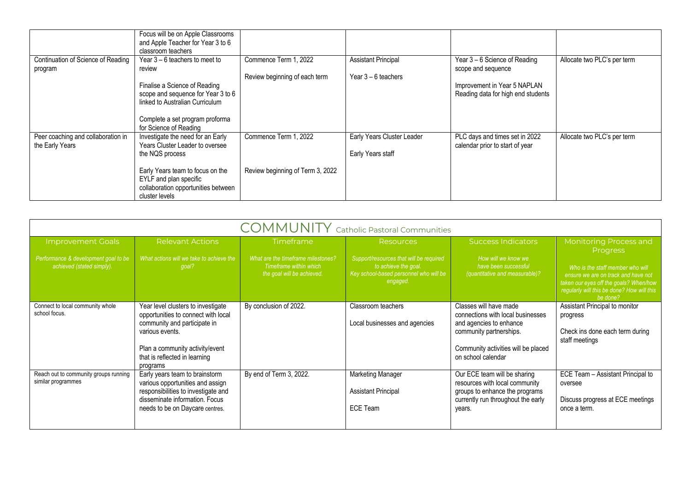|                                                       | Focus will be on Apple Classrooms<br>and Apple Teacher for Year 3 to 6<br>classroom teachers                                                                                                                      |                                                           |                                                     |                                                                                                                           |                             |
|-------------------------------------------------------|-------------------------------------------------------------------------------------------------------------------------------------------------------------------------------------------------------------------|-----------------------------------------------------------|-----------------------------------------------------|---------------------------------------------------------------------------------------------------------------------------|-----------------------------|
| Continuation of Science of Reading<br>program         | Year $3 - 6$ teachers to meet to<br>review<br>Finalise a Science of Reading<br>scope and sequence for Year 3 to 6<br>linked to Australian Curriculum<br>Complete a set program proforma<br>for Science of Reading | Commence Term 1, 2022<br>Review beginning of each term    | <b>Assistant Principal</b><br>Year $3 - 6$ teachers | Year 3 – 6 Science of Reading<br>scope and sequence<br>Improvement in Year 5 NAPLAN<br>Reading data for high end students | Allocate two PLC's per term |
| Peer coaching and collaboration in<br>the Early Years | Investigate the need for an Early<br>Years Cluster Leader to oversee<br>the NQS process<br>Early Years team to focus on the<br>EYLF and plan specific<br>collaboration opportunities between<br>cluster levels    | Commence Term 1, 2022<br>Review beginning of Term 3, 2022 | Early Years Cluster Leader<br>Early Years staff     | PLC days and times set in 2022<br>calendar prior to start of year                                                         | Allocate two PLC's per term |

|                                                                                               | <b>COMMUNITY</b> Catholic Pastoral Communities                                                                                                                                                               |                                                                                                                |                                                                                                                                           |                                                                                                                                                                                |                                                                                                                                                                                                                                 |
|-----------------------------------------------------------------------------------------------|--------------------------------------------------------------------------------------------------------------------------------------------------------------------------------------------------------------|----------------------------------------------------------------------------------------------------------------|-------------------------------------------------------------------------------------------------------------------------------------------|--------------------------------------------------------------------------------------------------------------------------------------------------------------------------------|---------------------------------------------------------------------------------------------------------------------------------------------------------------------------------------------------------------------------------|
| <b>Improvement Goals</b><br>Performance & development goal to be<br>achieved (stated simply). | <b>Relevant Actions</b><br>What actions will we take to achieve the<br>goal?                                                                                                                                 | <b>Timeframe</b><br>What are the timeframe milestones?<br>Timeframe within which<br>the goal will be achieved. | <b>Resources</b><br>Support/resources that will be required<br>to achieve the goal.<br>Key school-based personnel who will be<br>engaged. | <b>Success Indicators</b><br>How will we know we<br>have been successful<br>(quantitative and measurable)?                                                                     | <b>Monitoring Process and</b><br><b>Progress</b><br>Who is the staff member who will<br>ensure we are on track and have not<br>taken our eyes off the goals? When/how<br>regularly will this be done? How will this<br>be done? |
| Connect to local community whole<br>school focus.                                             | Year level clusters to investigate<br>opportunities to connect with local<br>community and participate in<br>various events.<br>Plan a community activity/event<br>that is reflected in learning<br>programs | By conclusion of 2022.                                                                                         | Classroom teachers<br>Local businesses and agencies                                                                                       | Classes will have made<br>connections with local businesses<br>and agencies to enhance<br>community partnerships.<br>Community activities will be placed<br>on school calendar | Assistant Principal to monitor<br>progress<br>Check ins done each term during<br>staff meetings                                                                                                                                 |
| Reach out to community groups running<br>similar programmes                                   | Early years team to brainstorm<br>various opportunities and assign<br>responsibilities to investigate and<br>disseminate information. Focus<br>needs to be on Daycare centres.                               | By end of Term 3, 2022.                                                                                        | <b>Marketing Manager</b><br><b>Assistant Principal</b><br><b>ECE Team</b>                                                                 | Our ECE team will be sharing<br>resources with local community<br>groups to enhance the programs<br>currently run throughout the early<br>years.                               | ECE Team - Assistant Principal to<br>oversee<br>Discuss progress at ECE meetings<br>once a term.                                                                                                                                |